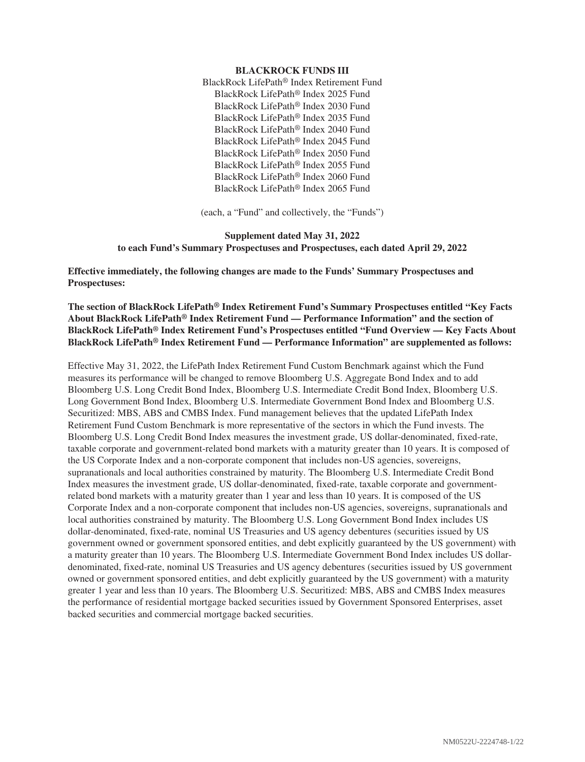#### **BLACKROCK FUNDS III**

BlackRock LifePath® Index Retirement Fund BlackRock LifePath® Index 2025 Fund BlackRock LifePath® Index 2030 Fund BlackRock LifePath® Index 2035 Fund BlackRock LifePath® Index 2040 Fund BlackRock LifePath® Index 2045 Fund BlackRock LifePath® Index 2050 Fund BlackRock LifePath® Index 2055 Fund BlackRock LifePath® Index 2060 Fund BlackRock LifePath® Index 2065 Fund

(each, a "Fund" and collectively, the "Funds")

#### **Supplement dated May 31, 2022 to each Fund's Summary Prospectuses and Prospectuses, each dated April 29, 2022**

**Effective immediately, the following changes are made to the Funds' Summary Prospectuses and Prospectuses:**

**The section of BlackRock LifePath® Index Retirement Fund's Summary Prospectuses entitled "Key Facts About BlackRock LifePath® Index Retirement Fund — Performance Information" and the section of BlackRock LifePath® Index Retirement Fund's Prospectuses entitled "Fund Overview — Key Facts About BlackRock LifePath® Index Retirement Fund — Performance Information" are supplemented as follows:**

Effective May 31, 2022, the LifePath Index Retirement Fund Custom Benchmark against which the Fund measures its performance will be changed to remove Bloomberg U.S. Aggregate Bond Index and to add Bloomberg U.S. Long Credit Bond Index, Bloomberg U.S. Intermediate Credit Bond Index, Bloomberg U.S. Long Government Bond Index, Bloomberg U.S. Intermediate Government Bond Index and Bloomberg U.S. Securitized: MBS, ABS and CMBS Index. Fund management believes that the updated LifePath Index Retirement Fund Custom Benchmark is more representative of the sectors in which the Fund invests. The Bloomberg U.S. Long Credit Bond Index measures the investment grade, US dollar-denominated, fixed-rate, taxable corporate and government-related bond markets with a maturity greater than 10 years. It is composed of the US Corporate Index and a non-corporate component that includes non-US agencies, sovereigns, supranationals and local authorities constrained by maturity. The Bloomberg U.S. Intermediate Credit Bond Index measures the investment grade, US dollar-denominated, fixed-rate, taxable corporate and governmentrelated bond markets with a maturity greater than 1 year and less than 10 years. It is composed of the US Corporate Index and a non-corporate component that includes non-US agencies, sovereigns, supranationals and local authorities constrained by maturity. The Bloomberg U.S. Long Government Bond Index includes US dollar-denominated, fixed-rate, nominal US Treasuries and US agency debentures (securities issued by US government owned or government sponsored entities, and debt explicitly guaranteed by the US government) with a maturity greater than 10 years. The Bloomberg U.S. Intermediate Government Bond Index includes US dollardenominated, fixed-rate, nominal US Treasuries and US agency debentures (securities issued by US government owned or government sponsored entities, and debt explicitly guaranteed by the US government) with a maturity greater 1 year and less than 10 years. The Bloomberg U.S. Securitized: MBS, ABS and CMBS Index measures the performance of residential mortgage backed securities issued by Government Sponsored Enterprises, asset backed securities and commercial mortgage backed securities.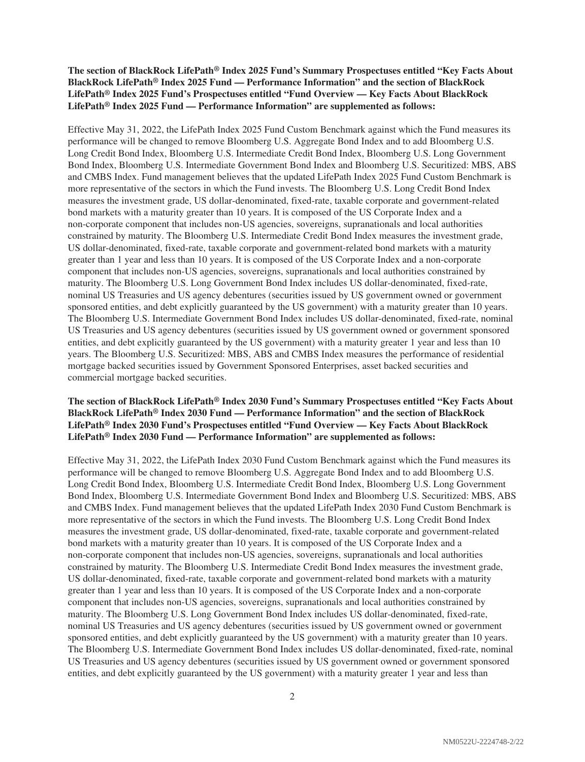#### **The section of BlackRock LifePath® Index 2025 Fund's Summary Prospectuses entitled "Key Facts About BlackRock LifePath® Index 2025 Fund — Performance Information" and the section of BlackRock LifePath® Index 2025 Fund's Prospectuses entitled "Fund Overview — Key Facts About BlackRock LifePath® Index 2025 Fund — Performance Information" are supplemented as follows:**

Effective May 31, 2022, the LifePath Index 2025 Fund Custom Benchmark against which the Fund measures its performance will be changed to remove Bloomberg U.S. Aggregate Bond Index and to add Bloomberg U.S. Long Credit Bond Index, Bloomberg U.S. Intermediate Credit Bond Index, Bloomberg U.S. Long Government Bond Index, Bloomberg U.S. Intermediate Government Bond Index and Bloomberg U.S. Securitized: MBS, ABS and CMBS Index. Fund management believes that the updated LifePath Index 2025 Fund Custom Benchmark is more representative of the sectors in which the Fund invests. The Bloomberg U.S. Long Credit Bond Index measures the investment grade, US dollar-denominated, fixed-rate, taxable corporate and government-related bond markets with a maturity greater than 10 years. It is composed of the US Corporate Index and a non-corporate component that includes non-US agencies, sovereigns, supranationals and local authorities constrained by maturity. The Bloomberg U.S. Intermediate Credit Bond Index measures the investment grade, US dollar-denominated, fixed-rate, taxable corporate and government-related bond markets with a maturity greater than 1 year and less than 10 years. It is composed of the US Corporate Index and a non-corporate component that includes non-US agencies, sovereigns, supranationals and local authorities constrained by maturity. The Bloomberg U.S. Long Government Bond Index includes US dollar-denominated, fixed-rate, nominal US Treasuries and US agency debentures (securities issued by US government owned or government sponsored entities, and debt explicitly guaranteed by the US government) with a maturity greater than 10 years. The Bloomberg U.S. Intermediate Government Bond Index includes US dollar-denominated, fixed-rate, nominal US Treasuries and US agency debentures (securities issued by US government owned or government sponsored entities, and debt explicitly guaranteed by the US government) with a maturity greater 1 year and less than 10 years. The Bloomberg U.S. Securitized: MBS, ABS and CMBS Index measures the performance of residential mortgage backed securities issued by Government Sponsored Enterprises, asset backed securities and commercial mortgage backed securities.

# **The section of BlackRock LifePath® Index 2030 Fund's Summary Prospectuses entitled "Key Facts About BlackRock LifePath® Index 2030 Fund — Performance Information" and the section of BlackRock LifePath® Index 2030 Fund's Prospectuses entitled "Fund Overview — Key Facts About BlackRock LifePath® Index 2030 Fund — Performance Information" are supplemented as follows:**

Effective May 31, 2022, the LifePath Index 2030 Fund Custom Benchmark against which the Fund measures its performance will be changed to remove Bloomberg U.S. Aggregate Bond Index and to add Bloomberg U.S. Long Credit Bond Index, Bloomberg U.S. Intermediate Credit Bond Index, Bloomberg U.S. Long Government Bond Index, Bloomberg U.S. Intermediate Government Bond Index and Bloomberg U.S. Securitized: MBS, ABS and CMBS Index. Fund management believes that the updated LifePath Index 2030 Fund Custom Benchmark is more representative of the sectors in which the Fund invests. The Bloomberg U.S. Long Credit Bond Index measures the investment grade, US dollar-denominated, fixed-rate, taxable corporate and government-related bond markets with a maturity greater than 10 years. It is composed of the US Corporate Index and a non-corporate component that includes non-US agencies, sovereigns, supranationals and local authorities constrained by maturity. The Bloomberg U.S. Intermediate Credit Bond Index measures the investment grade, US dollar-denominated, fixed-rate, taxable corporate and government-related bond markets with a maturity greater than 1 year and less than 10 years. It is composed of the US Corporate Index and a non-corporate component that includes non-US agencies, sovereigns, supranationals and local authorities constrained by maturity. The Bloomberg U.S. Long Government Bond Index includes US dollar-denominated, fixed-rate, nominal US Treasuries and US agency debentures (securities issued by US government owned or government sponsored entities, and debt explicitly guaranteed by the US government) with a maturity greater than 10 years. The Bloomberg U.S. Intermediate Government Bond Index includes US dollar-denominated, fixed-rate, nominal US Treasuries and US agency debentures (securities issued by US government owned or government sponsored entities, and debt explicitly guaranteed by the US government) with a maturity greater 1 year and less than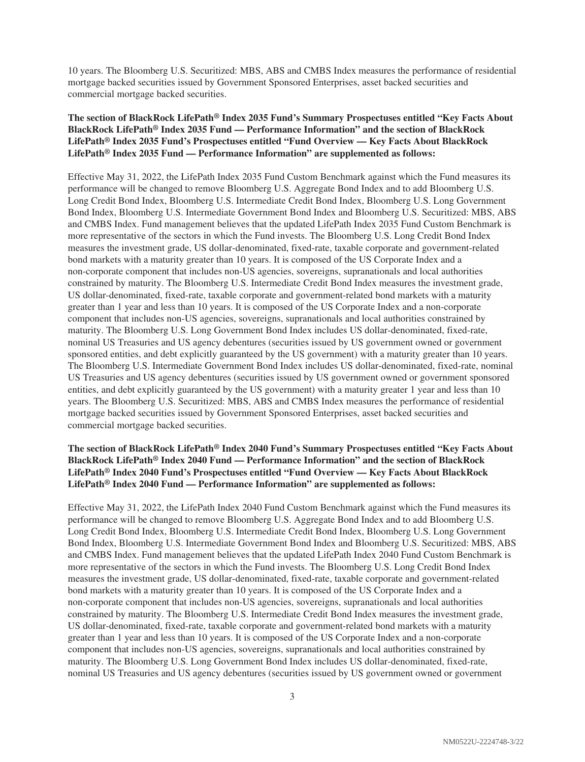10 years. The Bloomberg U.S. Securitized: MBS, ABS and CMBS Index measures the performance of residential mortgage backed securities issued by Government Sponsored Enterprises, asset backed securities and commercial mortgage backed securities.

#### **The section of BlackRock LifePath® Index 2035 Fund's Summary Prospectuses entitled "Key Facts About BlackRock LifePath® Index 2035 Fund — Performance Information" and the section of BlackRock LifePath® Index 2035 Fund's Prospectuses entitled "Fund Overview — Key Facts About BlackRock LifePath® Index 2035 Fund — Performance Information" are supplemented as follows:**

Effective May 31, 2022, the LifePath Index 2035 Fund Custom Benchmark against which the Fund measures its performance will be changed to remove Bloomberg U.S. Aggregate Bond Index and to add Bloomberg U.S. Long Credit Bond Index, Bloomberg U.S. Intermediate Credit Bond Index, Bloomberg U.S. Long Government Bond Index, Bloomberg U.S. Intermediate Government Bond Index and Bloomberg U.S. Securitized: MBS, ABS and CMBS Index. Fund management believes that the updated LifePath Index 2035 Fund Custom Benchmark is more representative of the sectors in which the Fund invests. The Bloomberg U.S. Long Credit Bond Index measures the investment grade, US dollar-denominated, fixed-rate, taxable corporate and government-related bond markets with a maturity greater than 10 years. It is composed of the US Corporate Index and a non-corporate component that includes non-US agencies, sovereigns, supranationals and local authorities constrained by maturity. The Bloomberg U.S. Intermediate Credit Bond Index measures the investment grade, US dollar-denominated, fixed-rate, taxable corporate and government-related bond markets with a maturity greater than 1 year and less than 10 years. It is composed of the US Corporate Index and a non-corporate component that includes non-US agencies, sovereigns, supranationals and local authorities constrained by maturity. The Bloomberg U.S. Long Government Bond Index includes US dollar-denominated, fixed-rate, nominal US Treasuries and US agency debentures (securities issued by US government owned or government sponsored entities, and debt explicitly guaranteed by the US government) with a maturity greater than 10 years. The Bloomberg U.S. Intermediate Government Bond Index includes US dollar-denominated, fixed-rate, nominal US Treasuries and US agency debentures (securities issued by US government owned or government sponsored entities, and debt explicitly guaranteed by the US government) with a maturity greater 1 year and less than 10 years. The Bloomberg U.S. Securitized: MBS, ABS and CMBS Index measures the performance of residential mortgage backed securities issued by Government Sponsored Enterprises, asset backed securities and commercial mortgage backed securities.

# **The section of BlackRock LifePath® Index 2040 Fund's Summary Prospectuses entitled "Key Facts About BlackRock LifePath® Index 2040 Fund — Performance Information" and the section of BlackRock LifePath® Index 2040 Fund's Prospectuses entitled "Fund Overview — Key Facts About BlackRock LifePath® Index 2040 Fund — Performance Information" are supplemented as follows:**

Effective May 31, 2022, the LifePath Index 2040 Fund Custom Benchmark against which the Fund measures its performance will be changed to remove Bloomberg U.S. Aggregate Bond Index and to add Bloomberg U.S. Long Credit Bond Index, Bloomberg U.S. Intermediate Credit Bond Index, Bloomberg U.S. Long Government Bond Index, Bloomberg U.S. Intermediate Government Bond Index and Bloomberg U.S. Securitized: MBS, ABS and CMBS Index. Fund management believes that the updated LifePath Index 2040 Fund Custom Benchmark is more representative of the sectors in which the Fund invests. The Bloomberg U.S. Long Credit Bond Index measures the investment grade, US dollar-denominated, fixed-rate, taxable corporate and government-related bond markets with a maturity greater than 10 years. It is composed of the US Corporate Index and a non-corporate component that includes non-US agencies, sovereigns, supranationals and local authorities constrained by maturity. The Bloomberg U.S. Intermediate Credit Bond Index measures the investment grade, US dollar-denominated, fixed-rate, taxable corporate and government-related bond markets with a maturity greater than 1 year and less than 10 years. It is composed of the US Corporate Index and a non-corporate component that includes non-US agencies, sovereigns, supranationals and local authorities constrained by maturity. The Bloomberg U.S. Long Government Bond Index includes US dollar-denominated, fixed-rate, nominal US Treasuries and US agency debentures (securities issued by US government owned or government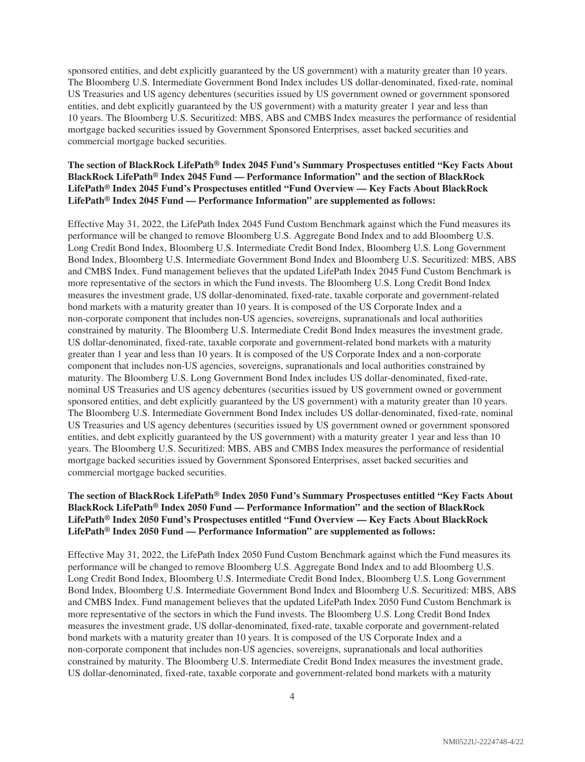sponsored entities, and debt explicitly guaranteed by the US government) with a maturity greater than 10 years. The Bloomberg U.S. Intermediate Government Bond Index includes US dollar-denominated, fixed-rate, nominal US Treasuries and US agency debentures (securities issued by US government owned or government sponsored entities, and debt explicitly guaranteed by the US government) with a maturity greater 1 year and less than 10 years. The Bloomberg U.S. Securitized: MBS, ABS and CMBS Index measures the performance of residential mortgage backed securities issued by Government Sponsored Enterprises, asset backed securities and commercial mortgage backed securities.

#### **The section of BlackRock LifePath® Index 2045 Fund's Summary Prospectuses entitled "Key Facts About BlackRock LifePath® Index 2045 Fund — Performance Information" and the section of BlackRock LifePath® Index 2045 Fund's Prospectuses entitled "Fund Overview — Key Facts About BlackRock LifePath® Index 2045 Fund — Performance Information" are supplemented as follows:**

Effective May 31, 2022, the LifePath Index 2045 Fund Custom Benchmark against which the Fund measures its performance will be changed to remove Bloomberg U.S. Aggregate Bond Index and to add Bloomberg U.S. Long Credit Bond Index, Bloomberg U.S. Intermediate Credit Bond Index, Bloomberg U.S. Long Government Bond Index, Bloomberg U.S. Intermediate Government Bond Index and Bloomberg U.S. Securitized: MBS, ABS and CMBS Index. Fund management believes that the updated LifePath Index 2045 Fund Custom Benchmark is more representative of the sectors in which the Fund invests. The Bloomberg U.S. Long Credit Bond Index measures the investment grade, US dollar-denominated, fixed-rate, taxable corporate and government-related bond markets with a maturity greater than 10 years. It is composed of the US Corporate Index and a non-corporate component that includes non-US agencies, sovereigns, supranationals and local authorities constrained by maturity. The Bloomberg U.S. Intermediate Credit Bond Index measures the investment grade, US dollar-denominated, fixed-rate, taxable corporate and government-related bond markets with a maturity greater than 1 year and less than 10 years. It is composed of the US Corporate Index and a non-corporate component that includes non-US agencies, sovereigns, supranationals and local authorities constrained by maturity. The Bloomberg U.S. Long Government Bond Index includes US dollar-denominated, fixed-rate, nominal US Treasuries and US agency debentures (securities issued by US government owned or government sponsored entities, and debt explicitly guaranteed by the US government) with a maturity greater than 10 years. The Bloomberg U.S. Intermediate Government Bond Index includes US dollar-denominated, fixed-rate, nominal US Treasuries and US agency debentures (securities issued by US government owned or government sponsored entities, and debt explicitly guaranteed by the US government) with a maturity greater 1 year and less than 10 years. The Bloomberg U.S. Securitized: MBS, ABS and CMBS Index measures the performance of residential mortgage backed securities issued by Government Sponsored Enterprises, asset backed securities and commercial mortgage backed securities.

# **The section of BlackRock LifePath® Index 2050 Fund's Summary Prospectuses entitled "Key Facts About BlackRock LifePath® Index 2050 Fund — Performance Information" and the section of BlackRock LifePath® Index 2050 Fund's Prospectuses entitled "Fund Overview — Key Facts About BlackRock LifePath® Index 2050 Fund — Performance Information" are supplemented as follows:**

Effective May 31, 2022, the LifePath Index 2050 Fund Custom Benchmark against which the Fund measures its performance will be changed to remove Bloomberg U.S. Aggregate Bond Index and to add Bloomberg U.S. Long Credit Bond Index, Bloomberg U.S. Intermediate Credit Bond Index, Bloomberg U.S. Long Government Bond Index, Bloomberg U.S. Intermediate Government Bond Index and Bloomberg U.S. Securitized: MBS, ABS and CMBS Index. Fund management believes that the updated LifePath Index 2050 Fund Custom Benchmark is more representative of the sectors in which the Fund invests. The Bloomberg U.S. Long Credit Bond Index measures the investment grade, US dollar-denominated, fixed-rate, taxable corporate and government-related bond markets with a maturity greater than 10 years. It is composed of the US Corporate Index and a non-corporate component that includes non-US agencies, sovereigns, supranationals and local authorities constrained by maturity. The Bloomberg U.S. Intermediate Credit Bond Index measures the investment grade, US dollar-denominated, fixed-rate, taxable corporate and government-related bond markets with a maturity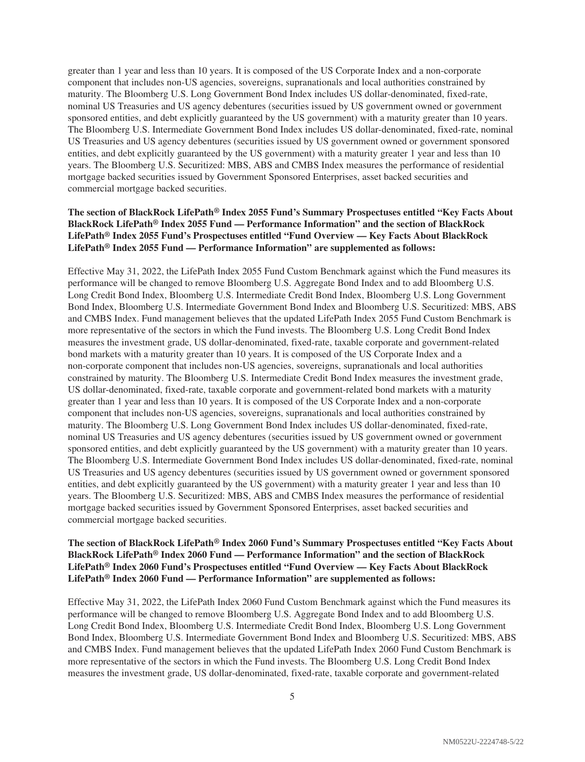greater than 1 year and less than 10 years. It is composed of the US Corporate Index and a non-corporate component that includes non-US agencies, sovereigns, supranationals and local authorities constrained by maturity. The Bloomberg U.S. Long Government Bond Index includes US dollar-denominated, fixed-rate, nominal US Treasuries and US agency debentures (securities issued by US government owned or government sponsored entities, and debt explicitly guaranteed by the US government) with a maturity greater than 10 years. The Bloomberg U.S. Intermediate Government Bond Index includes US dollar-denominated, fixed-rate, nominal US Treasuries and US agency debentures (securities issued by US government owned or government sponsored entities, and debt explicitly guaranteed by the US government) with a maturity greater 1 year and less than 10 years. The Bloomberg U.S. Securitized: MBS, ABS and CMBS Index measures the performance of residential mortgage backed securities issued by Government Sponsored Enterprises, asset backed securities and commercial mortgage backed securities.

# **The section of BlackRock LifePath® Index 2055 Fund's Summary Prospectuses entitled "Key Facts About BlackRock LifePath® Index 2055 Fund — Performance Information" and the section of BlackRock LifePath® Index 2055 Fund's Prospectuses entitled "Fund Overview — Key Facts About BlackRock LifePath® Index 2055 Fund — Performance Information" are supplemented as follows:**

Effective May 31, 2022, the LifePath Index 2055 Fund Custom Benchmark against which the Fund measures its performance will be changed to remove Bloomberg U.S. Aggregate Bond Index and to add Bloomberg U.S. Long Credit Bond Index, Bloomberg U.S. Intermediate Credit Bond Index, Bloomberg U.S. Long Government Bond Index, Bloomberg U.S. Intermediate Government Bond Index and Bloomberg U.S. Securitized: MBS, ABS and CMBS Index. Fund management believes that the updated LifePath Index 2055 Fund Custom Benchmark is more representative of the sectors in which the Fund invests. The Bloomberg U.S. Long Credit Bond Index measures the investment grade, US dollar-denominated, fixed-rate, taxable corporate and government-related bond markets with a maturity greater than 10 years. It is composed of the US Corporate Index and a non-corporate component that includes non-US agencies, sovereigns, supranationals and local authorities constrained by maturity. The Bloomberg U.S. Intermediate Credit Bond Index measures the investment grade, US dollar-denominated, fixed-rate, taxable corporate and government-related bond markets with a maturity greater than 1 year and less than 10 years. It is composed of the US Corporate Index and a non-corporate component that includes non-US agencies, sovereigns, supranationals and local authorities constrained by maturity. The Bloomberg U.S. Long Government Bond Index includes US dollar-denominated, fixed-rate, nominal US Treasuries and US agency debentures (securities issued by US government owned or government sponsored entities, and debt explicitly guaranteed by the US government) with a maturity greater than 10 years. The Bloomberg U.S. Intermediate Government Bond Index includes US dollar-denominated, fixed-rate, nominal US Treasuries and US agency debentures (securities issued by US government owned or government sponsored entities, and debt explicitly guaranteed by the US government) with a maturity greater 1 year and less than 10 years. The Bloomberg U.S. Securitized: MBS, ABS and CMBS Index measures the performance of residential mortgage backed securities issued by Government Sponsored Enterprises, asset backed securities and commercial mortgage backed securities.

#### **The section of BlackRock LifePath® Index 2060 Fund's Summary Prospectuses entitled "Key Facts About BlackRock LifePath® Index 2060 Fund — Performance Information" and the section of BlackRock LifePath® Index 2060 Fund's Prospectuses entitled "Fund Overview — Key Facts About BlackRock LifePath® Index 2060 Fund — Performance Information" are supplemented as follows:**

Effective May 31, 2022, the LifePath Index 2060 Fund Custom Benchmark against which the Fund measures its performance will be changed to remove Bloomberg U.S. Aggregate Bond Index and to add Bloomberg U.S. Long Credit Bond Index, Bloomberg U.S. Intermediate Credit Bond Index, Bloomberg U.S. Long Government Bond Index, Bloomberg U.S. Intermediate Government Bond Index and Bloomberg U.S. Securitized: MBS, ABS and CMBS Index. Fund management believes that the updated LifePath Index 2060 Fund Custom Benchmark is more representative of the sectors in which the Fund invests. The Bloomberg U.S. Long Credit Bond Index measures the investment grade, US dollar-denominated, fixed-rate, taxable corporate and government-related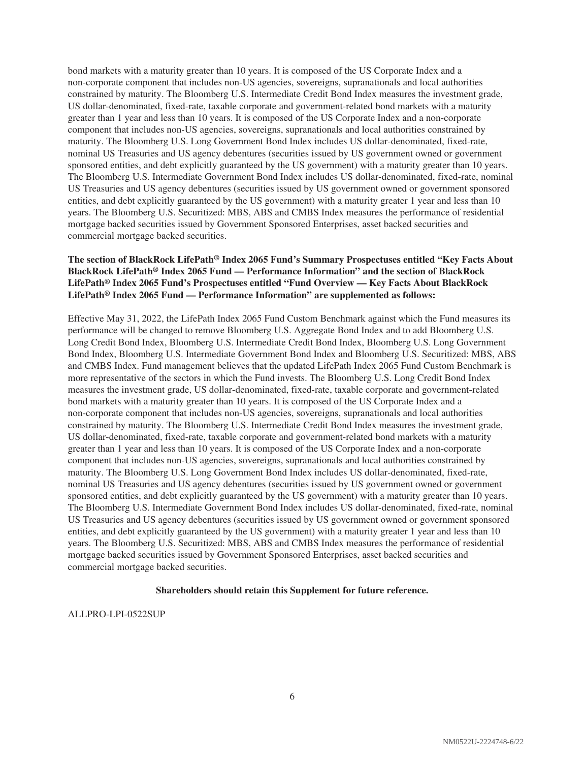bond markets with a maturity greater than 10 years. It is composed of the US Corporate Index and a non-corporate component that includes non-US agencies, sovereigns, supranationals and local authorities constrained by maturity. The Bloomberg U.S. Intermediate Credit Bond Index measures the investment grade, US dollar-denominated, fixed-rate, taxable corporate and government-related bond markets with a maturity greater than 1 year and less than 10 years. It is composed of the US Corporate Index and a non-corporate component that includes non-US agencies, sovereigns, supranationals and local authorities constrained by maturity. The Bloomberg U.S. Long Government Bond Index includes US dollar-denominated, fixed-rate, nominal US Treasuries and US agency debentures (securities issued by US government owned or government sponsored entities, and debt explicitly guaranteed by the US government) with a maturity greater than 10 years. The Bloomberg U.S. Intermediate Government Bond Index includes US dollar-denominated, fixed-rate, nominal US Treasuries and US agency debentures (securities issued by US government owned or government sponsored entities, and debt explicitly guaranteed by the US government) with a maturity greater 1 year and less than 10 years. The Bloomberg U.S. Securitized: MBS, ABS and CMBS Index measures the performance of residential mortgage backed securities issued by Government Sponsored Enterprises, asset backed securities and commercial mortgage backed securities.

#### **The section of BlackRock LifePath® Index 2065 Fund's Summary Prospectuses entitled "Key Facts About BlackRock LifePath® Index 2065 Fund — Performance Information" and the section of BlackRock LifePath® Index 2065 Fund's Prospectuses entitled "Fund Overview — Key Facts About BlackRock LifePath® Index 2065 Fund — Performance Information" are supplemented as follows:**

Effective May 31, 2022, the LifePath Index 2065 Fund Custom Benchmark against which the Fund measures its performance will be changed to remove Bloomberg U.S. Aggregate Bond Index and to add Bloomberg U.S. Long Credit Bond Index, Bloomberg U.S. Intermediate Credit Bond Index, Bloomberg U.S. Long Government Bond Index, Bloomberg U.S. Intermediate Government Bond Index and Bloomberg U.S. Securitized: MBS, ABS and CMBS Index. Fund management believes that the updated LifePath Index 2065 Fund Custom Benchmark is more representative of the sectors in which the Fund invests. The Bloomberg U.S. Long Credit Bond Index measures the investment grade, US dollar-denominated, fixed-rate, taxable corporate and government-related bond markets with a maturity greater than 10 years. It is composed of the US Corporate Index and a non-corporate component that includes non-US agencies, sovereigns, supranationals and local authorities constrained by maturity. The Bloomberg U.S. Intermediate Credit Bond Index measures the investment grade, US dollar-denominated, fixed-rate, taxable corporate and government-related bond markets with a maturity greater than 1 year and less than 10 years. It is composed of the US Corporate Index and a non-corporate component that includes non-US agencies, sovereigns, supranationals and local authorities constrained by maturity. The Bloomberg U.S. Long Government Bond Index includes US dollar-denominated, fixed-rate, nominal US Treasuries and US agency debentures (securities issued by US government owned or government sponsored entities, and debt explicitly guaranteed by the US government) with a maturity greater than 10 years. The Bloomberg U.S. Intermediate Government Bond Index includes US dollar-denominated, fixed-rate, nominal US Treasuries and US agency debentures (securities issued by US government owned or government sponsored entities, and debt explicitly guaranteed by the US government) with a maturity greater 1 year and less than 10 years. The Bloomberg U.S. Securitized: MBS, ABS and CMBS Index measures the performance of residential mortgage backed securities issued by Government Sponsored Enterprises, asset backed securities and commercial mortgage backed securities.

#### **Shareholders should retain this Supplement for future reference.**

ALLPRO-LPI-0522SUP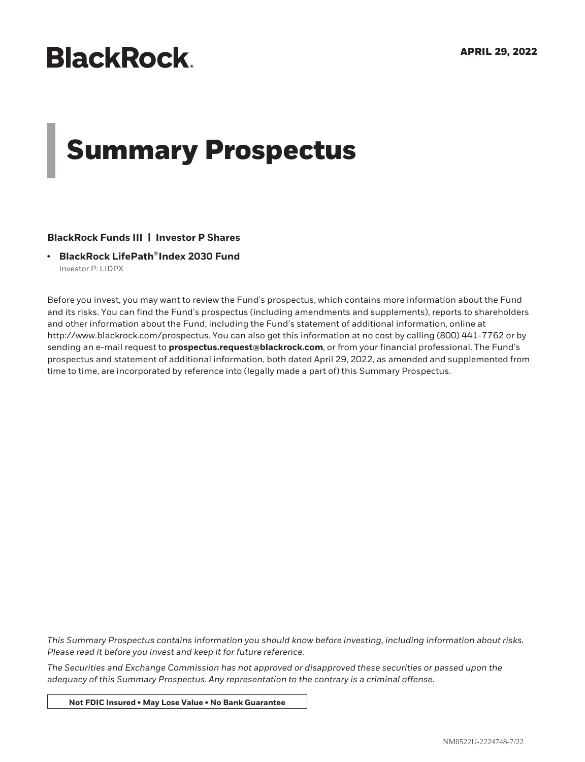# **BlackRock.**

# **Summary Prospectus**

# **BlackRock Funds III | Investor P Shares**

‰ **BlackRock LifePath®Index 2030 Fund** Investor P: LIDPX

Before you invest, you may want to review the Fund's prospectus, which contains more information about the Fund and its risks. You can find the Fund's prospectus (including amendments and supplements), reports to shareholders and other information about the Fund, including the Fund's statement of additional information, online at http://www.blackrock.com/prospectus. You can also get this information at no cost by calling (800) 441-7762 or by sending an e-mail request to **prospectus.request@blackrock.com**, or from your financial professional. The Fund's [prospectus and statement of additional information,](https://www.sec.gov/ix?doc=/Archives/edgar/data/893818/000119312522131388/d268845d485bpos.htm) both dated April 29, 2022, as amended and supplemented from time to time, are incorporated by reference into (legally made a part of) this Summary Prospectus.

*This Summary Prospectus contains information you should know before investing, including information about risks. Please read it before you invest and keep it for future reference.*

*The Securities and Exchange Commission has not approved or disapproved these securities or passed upon the adequacy of this Summary Prospectus. Any representation to the contrary is a criminal offense.*

**Not FDIC Insured • May Lose Value • No Bank Guarantee**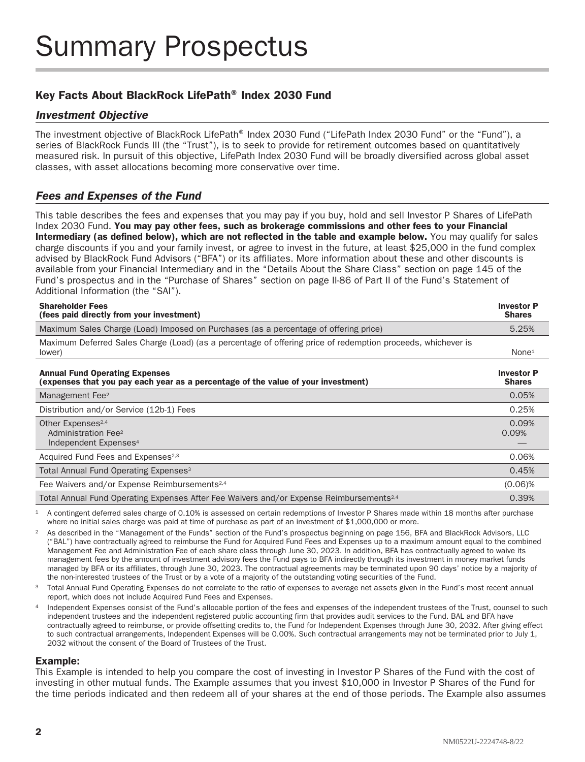# Key Facts About BlackRock LifePath®Index 2030 Fund

# Investment Objective

The investment objective of BlackRock LifePath® Index 2030 Fund ("LifePath Index 2030 Fund" or the "Fund"), a series of BlackRock Funds III (the "Trust"), is to seek to provide for retirement outcomes based on quantitatively measured risk. In pursuit of this objective, LifePath Index 2030 Fund will be broadly diversified across global asset classes, with asset allocations becoming more conservative over time.

# Fees and Expenses of the Fund

This table describes the fees and expenses that you may pay if you buy, hold and sell Investor P Shares of LifePath Index 2030 Fund. You may pay other fees, such as brokerage commissions and other fees to your Financial Intermediary (as defined below), which are not reflected in the table and example below. You may qualify for sales charge discounts if you and your family invest, or agree to invest in the future, at least \$25,000 in the fund complex advised by BlackRock Fund Advisors ("BFA") or its affiliates. More information about these and other discounts is available from your Financial Intermediary and in the "Details About the Share Class" section on page 145 of the Fund's prospectus and in the "Purchase of Shares" section on page II-86 of Part II of the Fund's Statement of Additional Information (the "SAI").

| <b>Shareholder Fees</b><br>(fees paid directly from your investment)                                                       | <b>Investor P</b><br><b>Shares</b> |
|----------------------------------------------------------------------------------------------------------------------------|------------------------------------|
| Maximum Sales Charge (Load) Imposed on Purchases (as a percentage of offering price)                                       | 5.25%                              |
| Maximum Deferred Sales Charge (Load) (as a percentage of offering price of redemption proceeds, whichever is<br>lower)     | None <sup>1</sup>                  |
| <b>Annual Fund Operating Expenses</b><br>(expenses that you pay each year as a percentage of the value of your investment) | <b>Investor P</b><br><b>Shares</b> |
| Management Fee <sup>2</sup>                                                                                                | 0.05%                              |
| Distribution and/or Service (12b-1) Fees                                                                                   | 0.25%                              |
| Other Expenses <sup>2,4</sup><br>Administration Fee <sup>2</sup><br>Independent Expenses <sup>4</sup>                      | 0.09%<br>0.09%                     |
| Acquired Fund Fees and Expenses <sup>2,3</sup>                                                                             | 0.06%                              |
| Total Annual Fund Operating Expenses <sup>3</sup>                                                                          | 0.45%                              |
| Fee Waivers and/or Expense Reimbursements <sup>2,4</sup>                                                                   | $(0.06)\%$                         |
| Total Annual Fund Operating Expenses After Fee Waivers and/or Expense Reimbursements <sup>2,4</sup>                        | 0.39%                              |

<sup>1</sup> A contingent deferred sales charge of 0.10% is assessed on certain redemptions of Investor P Shares made within 18 months after purchase where no initial sales charge was paid at time of purchase as part of an investment of \$1,000,000 or more.

<sup>2</sup> As described in the "Management of the Funds" section of the Fund's prospectus beginning on page 156, BFA and BlackRock Advisors, LLC ("BAL") have contractually agreed to reimburse the Fund for Acquired Fund Fees and Expenses up to a maximum amount equal to the combined Management Fee and Administration Fee of each share class through June 30, 2023. In addition, BFA has contractually agreed to waive its management fees by the amount of investment advisory fees the Fund pays to BFA indirectly through its investment in money market funds managed by BFA or its affiliates, through June 30, 2023. The contractual agreements may be terminated upon 90 days' notice by a majority of the non-interested trustees of the Trust or by a vote of a majority of the outstanding voting securities of the Fund.

<sup>3</sup> Total Annual Fund Operating Expenses do not correlate to the ratio of expenses to average net assets given in the Fund's most recent annual report, which does not include Acquired Fund Fees and Expenses.

Independent Expenses consist of the Fund's allocable portion of the fees and expenses of the independent trustees of the Trust, counsel to such independent trustees and the independent registered public accounting firm that provides audit services to the Fund. BAL and BFA have contractually agreed to reimburse, or provide offsetting credits to, the Fund for Independent Expenses through June 30, 2032. After giving effect to such contractual arrangements, Independent Expenses will be 0.00%. Such contractual arrangements may not be terminated prior to July 1, 2032 without the consent of the Board of Trustees of the Trust.

#### Example:

This Example is intended to help you compare the cost of investing in Investor P Shares of the Fund with the cost of investing in other mutual funds. The Example assumes that you invest \$10,000 in Investor P Shares of the Fund for the time periods indicated and then redeem all of your shares at the end of those periods. The Example also assumes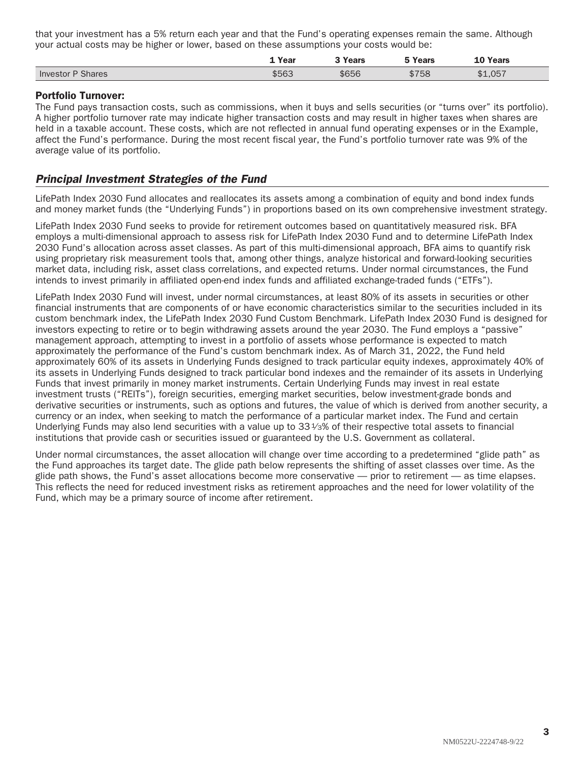that your investment has a 5% return each year and that the Fund's operating expenses remain the same. Although your actual costs may be higher or lower, based on these assumptions your costs would be:

|                                 | Year  | <b>Years</b> | 5 Years | Years              |  |
|---------------------------------|-------|--------------|---------|--------------------|--|
| <sup>2</sup> Shares<br>Investor | \$563 | \$656        | \$758   | .,057<br>ሰ 4<br>ுட |  |

# Portfolio Turnover:

The Fund pays transaction costs, such as commissions, when it buys and sells securities (or "turns over" its portfolio). A higher portfolio turnover rate may indicate higher transaction costs and may result in higher taxes when shares are held in a taxable account. These costs, which are not reflected in annual fund operating expenses or in the Example, affect the Fund's performance. During the most recent fiscal year, the Fund's portfolio turnover rate was 9% of the average value of its portfolio.

# Principal Investment Strategies of the Fund

LifePath Index 2030 Fund allocates and reallocates its assets among a combination of equity and bond index funds and money market funds (the "Underlying Funds") in proportions based on its own comprehensive investment strategy.

LifePath Index 2030 Fund seeks to provide for retirement outcomes based on quantitatively measured risk. BFA employs a multi-dimensional approach to assess risk for LifePath Index 2030 Fund and to determine LifePath Index 2030 Fund's allocation across asset classes. As part of this multi-dimensional approach, BFA aims to quantify risk using proprietary risk measurement tools that, among other things, analyze historical and forward-looking securities market data, including risk, asset class correlations, and expected returns. Under normal circumstances, the Fund intends to invest primarily in affiliated open-end index funds and affiliated exchange-traded funds ("ETFs").

LifePath Index 2030 Fund will invest, under normal circumstances, at least 80% of its assets in securities or other financial instruments that are components of or have economic characteristics similar to the securities included in its custom benchmark index, the LifePath Index 2030 Fund Custom Benchmark. LifePath Index 2030 Fund is designed for investors expecting to retire or to begin withdrawing assets around the year 2030. The Fund employs a "passive" management approach, attempting to invest in a portfolio of assets whose performance is expected to match approximately the performance of the Fund's custom benchmark index. As of March 31, 2022, the Fund held approximately 60% of its assets in Underlying Funds designed to track particular equity indexes, approximately 40% of its assets in Underlying Funds designed to track particular bond indexes and the remainder of its assets in Underlying Funds that invest primarily in money market instruments. Certain Underlying Funds may invest in real estate investment trusts ("REITs"), foreign securities, emerging market securities, below investment-grade bonds and derivative securities or instruments, such as options and futures, the value of which is derived from another security, a currency or an index, when seeking to match the performance of a particular market index. The Fund and certain Underlying Funds may also lend securities with a value up to 331/3% of their respective total assets to financial institutions that provide cash or securities issued or guaranteed by the U.S. Government as collateral.

Under normal circumstances, the asset allocation will change over time according to a predetermined "glide path" as the Fund approaches its target date. The glide path below represents the shifting of asset classes over time. As the glide path shows, the Fund's asset allocations become more conservative — prior to retirement — as time elapses. This reflects the need for reduced investment risks as retirement approaches and the need for lower volatility of the Fund, which may be a primary source of income after retirement.

3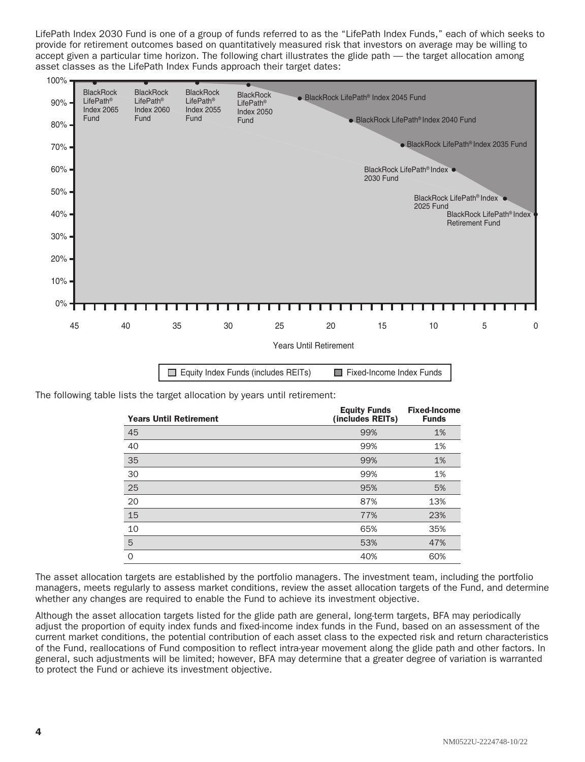LifePath Index 2030 Fund is one of a group of funds referred to as the "LifePath Index Funds," each of which seeks to provide for retirement outcomes based on quantitatively measured risk that investors on average may be willing to accept given a particular time horizon. The following chart illustrates the glide path — the target allocation among asset classes as the LifePath Index Funds approach their target dates:



The following table lists the target allocation by years until retirement:

| <b>Years Until Retirement</b> | <b>Equity Funds</b><br>(includes REITs) | <b>Fixed-Income</b><br><b>Funds</b> |
|-------------------------------|-----------------------------------------|-------------------------------------|
| 45                            | 99%                                     | 1%                                  |
| 40                            | 99%                                     | 1%                                  |
| 35                            | 99%                                     | 1%                                  |
| 30                            | 99%                                     | 1%                                  |
| 25                            | 95%                                     | 5%                                  |
| 20                            | 87%                                     | 13%                                 |
| 15                            | 77%                                     | 23%                                 |
| 10                            | 65%                                     | 35%                                 |
| 5                             | 53%                                     | 47%                                 |
| ∩                             | 40%                                     | 60%                                 |

The asset allocation targets are established by the portfolio managers. The investment team, including the portfolio managers, meets regularly to assess market conditions, review the asset allocation targets of the Fund, and determine whether any changes are required to enable the Fund to achieve its investment objective.

Although the asset allocation targets listed for the glide path are general, long-term targets, BFA may periodically adjust the proportion of equity index funds and fixed-income index funds in the Fund, based on an assessment of the current market conditions, the potential contribution of each asset class to the expected risk and return characteristics of the Fund, reallocations of Fund composition to reflect intra-year movement along the glide path and other factors. In general, such adjustments will be limited; however, BFA may determine that a greater degree of variation is warranted to protect the Fund or achieve its investment objective.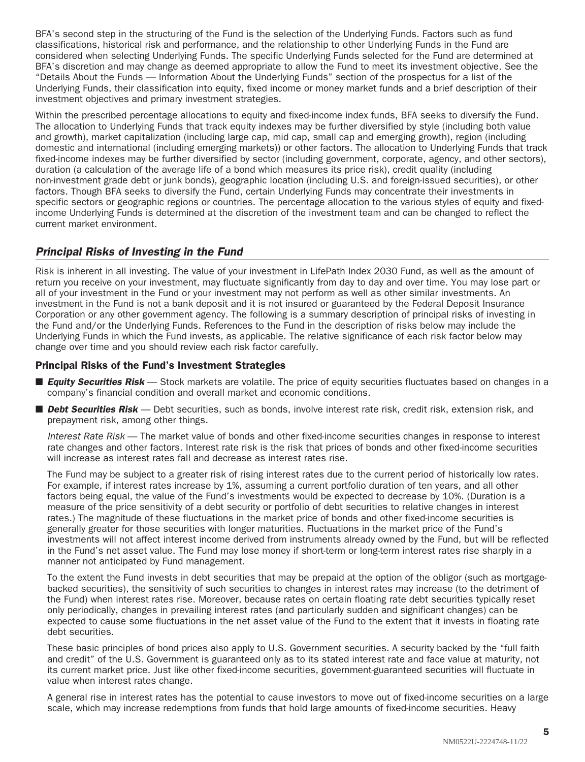BFA's second step in the structuring of the Fund is the selection of the Underlying Funds. Factors such as fund classifications, historical risk and performance, and the relationship to other Underlying Funds in the Fund are considered when selecting Underlying Funds. The specific Underlying Funds selected for the Fund are determined at BFA's discretion and may change as deemed appropriate to allow the Fund to meet its investment objective. See the "Details About the Funds — Information About the Underlying Funds" section of the prospectus for a list of the Underlying Funds, their classification into equity, fixed income or money market funds and a brief description of their investment objectives and primary investment strategies.

Within the prescribed percentage allocations to equity and fixed-income index funds, BFA seeks to diversify the Fund. The allocation to Underlying Funds that track equity indexes may be further diversified by style (including both value and growth), market capitalization (including large cap, mid cap, small cap and emerging growth), region (including domestic and international (including emerging markets)) or other factors. The allocation to Underlying Funds that track fixed-income indexes may be further diversified by sector (including government, corporate, agency, and other sectors), duration (a calculation of the average life of a bond which measures its price risk), credit quality (including non-investment grade debt or junk bonds), geographic location (including U.S. and foreign-issued securities), or other factors. Though BFA seeks to diversify the Fund, certain Underlying Funds may concentrate their investments in specific sectors or geographic regions or countries. The percentage allocation to the various styles of equity and fixedincome Underlying Funds is determined at the discretion of the investment team and can be changed to reflect the current market environment.

# Principal Risks of Investing in the Fund

Risk is inherent in all investing. The value of your investment in LifePath Index 2030 Fund, as well as the amount of return you receive on your investment, may fluctuate significantly from day to day and over time. You may lose part or all of your investment in the Fund or your investment may not perform as well as other similar investments. An investment in the Fund is not a bank deposit and it is not insured or guaranteed by the Federal Deposit Insurance Corporation or any other government agency. The following is a summary description of principal risks of investing in the Fund and/or the Underlying Funds. References to the Fund in the description of risks below may include the Underlying Funds in which the Fund invests, as applicable. The relative significance of each risk factor below may change over time and you should review each risk factor carefully.

# Principal Risks of the Fund's Investment Strategies

- Equity Securities Risk Stock markets are volatile. The price of equity securities fluctuates based on changes in a company's financial condition and overall market and economic conditions.
- Debt Securities Risk Debt securities, such as bonds, involve interest rate risk, credit risk, extension risk, and prepayment risk, among other things.

Interest Rate Risk — The market value of bonds and other fixed-income securities changes in response to interest rate changes and other factors. Interest rate risk is the risk that prices of bonds and other fixed-income securities will increase as interest rates fall and decrease as interest rates rise.

The Fund may be subject to a greater risk of rising interest rates due to the current period of historically low rates. For example, if interest rates increase by 1%, assuming a current portfolio duration of ten years, and all other factors being equal, the value of the Fund's investments would be expected to decrease by 10%. (Duration is a measure of the price sensitivity of a debt security or portfolio of debt securities to relative changes in interest rates.) The magnitude of these fluctuations in the market price of bonds and other fixed-income securities is generally greater for those securities with longer maturities. Fluctuations in the market price of the Fund's investments will not affect interest income derived from instruments already owned by the Fund, but will be reflected in the Fund's net asset value. The Fund may lose money if short-term or long-term interest rates rise sharply in a manner not anticipated by Fund management.

To the extent the Fund invests in debt securities that may be prepaid at the option of the obligor (such as mortgagebacked securities), the sensitivity of such securities to changes in interest rates may increase (to the detriment of the Fund) when interest rates rise. Moreover, because rates on certain floating rate debt securities typically reset only periodically, changes in prevailing interest rates (and particularly sudden and significant changes) can be expected to cause some fluctuations in the net asset value of the Fund to the extent that it invests in floating rate debt securities.

These basic principles of bond prices also apply to U.S. Government securities. A security backed by the "full faith and credit" of the U.S. Government is guaranteed only as to its stated interest rate and face value at maturity, not its current market price. Just like other fixed-income securities, government-guaranteed securities will fluctuate in value when interest rates change.

A general rise in interest rates has the potential to cause investors to move out of fixed-income securities on a large scale, which may increase redemptions from funds that hold large amounts of fixed-income securities. Heavy

5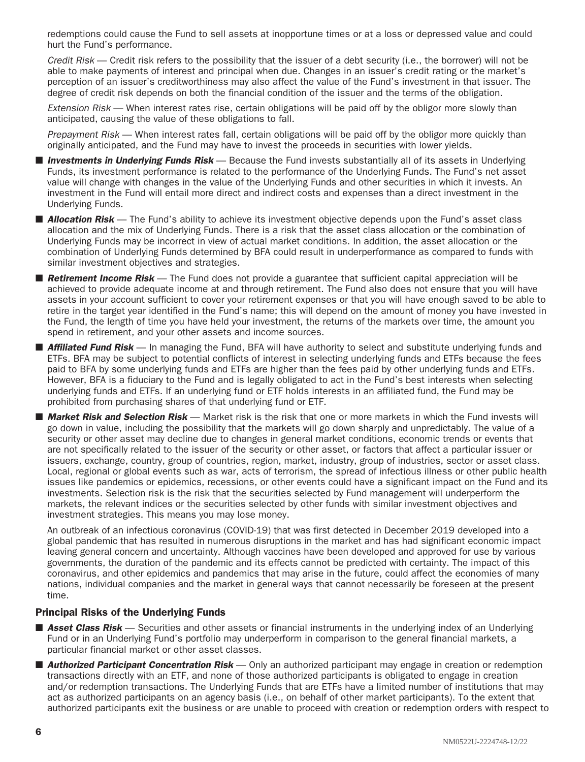redemptions could cause the Fund to sell assets at inopportune times or at a loss or depressed value and could hurt the Fund's performance.

Credit Risk — Credit risk refers to the possibility that the issuer of a debt security (i.e., the borrower) will not be able to make payments of interest and principal when due. Changes in an issuer's credit rating or the market's perception of an issuer's creditworthiness may also affect the value of the Fund's investment in that issuer. The degree of credit risk depends on both the financial condition of the issuer and the terms of the obligation.

Extension Risk — When interest rates rise, certain obligations will be paid off by the obligor more slowly than anticipated, causing the value of these obligations to fall.

Prepayment Risk — When interest rates fall, certain obligations will be paid off by the obligor more quickly than originally anticipated, and the Fund may have to invest the proceeds in securities with lower yields.

- Investments in Underlying Funds Risk Because the Fund invests substantially all of its assets in Underlying Funds, its investment performance is related to the performance of the Underlying Funds. The Fund's net asset value will change with changes in the value of the Underlying Funds and other securities in which it invests. An investment in the Fund will entail more direct and indirect costs and expenses than a direct investment in the Underlying Funds.
- Allocation Risk The Fund's ability to achieve its investment objective depends upon the Fund's asset class allocation and the mix of Underlying Funds. There is a risk that the asset class allocation or the combination of Underlying Funds may be incorrect in view of actual market conditions. In addition, the asset allocation or the combination of Underlying Funds determined by BFA could result in underperformance as compared to funds with similar investment objectives and strategies.
- Retirement Income Risk The Fund does not provide a guarantee that sufficient capital appreciation will be achieved to provide adequate income at and through retirement. The Fund also does not ensure that you will have assets in your account sufficient to cover your retirement expenses or that you will have enough saved to be able to retire in the target year identified in the Fund's name; this will depend on the amount of money you have invested in the Fund, the length of time you have held your investment, the returns of the markets over time, the amount you spend in retirement, and your other assets and income sources.
- Affiliated Fund Risk In managing the Fund, BFA will have authority to select and substitute underlying funds and ETFs. BFA may be subject to potential conflicts of interest in selecting underlying funds and ETFs because the fees paid to BFA by some underlying funds and ETFs are higher than the fees paid by other underlying funds and ETFs. However, BFA is a fiduciary to the Fund and is legally obligated to act in the Fund's best interests when selecting underlying funds and ETFs. If an underlying fund or ETF holds interests in an affiliated fund, the Fund may be prohibited from purchasing shares of that underlying fund or ETF.
- Market Risk and Selection Risk Market risk is the risk that one or more markets in which the Fund invests will go down in value, including the possibility that the markets will go down sharply and unpredictably. The value of a security or other asset may decline due to changes in general market conditions, economic trends or events that are not specifically related to the issuer of the security or other asset, or factors that affect a particular issuer or issuers, exchange, country, group of countries, region, market, industry, group of industries, sector or asset class. Local, regional or global events such as war, acts of terrorism, the spread of infectious illness or other public health issues like pandemics or epidemics, recessions, or other events could have a significant impact on the Fund and its investments. Selection risk is the risk that the securities selected by Fund management will underperform the markets, the relevant indices or the securities selected by other funds with similar investment objectives and investment strategies. This means you may lose money.

An outbreak of an infectious coronavirus (COVID-19) that was first detected in December 2019 developed into a global pandemic that has resulted in numerous disruptions in the market and has had significant economic impact leaving general concern and uncertainty. Although vaccines have been developed and approved for use by various governments, the duration of the pandemic and its effects cannot be predicted with certainty. The impact of this coronavirus, and other epidemics and pandemics that may arise in the future, could affect the economies of many nations, individual companies and the market in general ways that cannot necessarily be foreseen at the present time.

#### Principal Risks of the Underlying Funds

- Asset Class Risk Securities and other assets or financial instruments in the underlying index of an Underlying Fund or in an Underlying Fund's portfolio may underperform in comparison to the general financial markets, a particular financial market or other asset classes.
- **Authorized Participant Concentration Risk** Only an authorized participant may engage in creation or redemption transactions directly with an ETF, and none of those authorized participants is obligated to engage in creation and/or redemption transactions. The Underlying Funds that are ETFs have a limited number of institutions that may act as authorized participants on an agency basis (i.e., on behalf of other market participants). To the extent that authorized participants exit the business or are unable to proceed with creation or redemption orders with respect to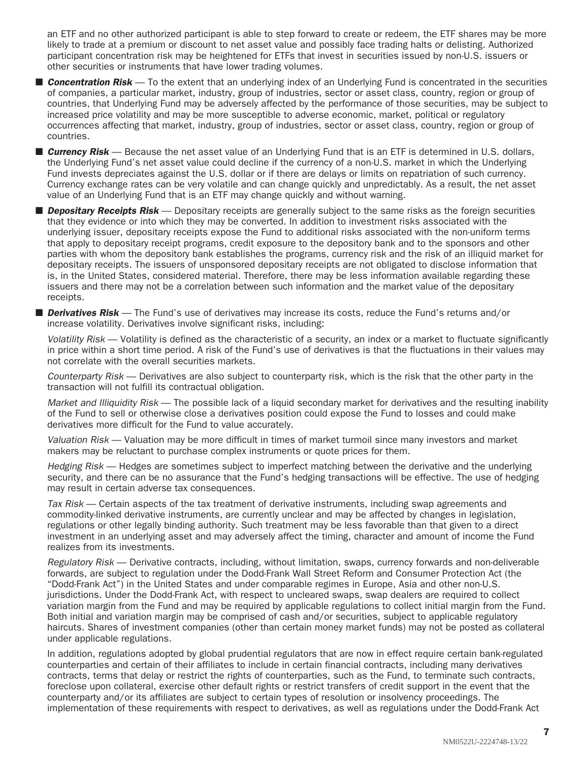an ETF and no other authorized participant is able to step forward to create or redeem, the ETF shares may be more likely to trade at a premium or discount to net asset value and possibly face trading halts or delisting. Authorized participant concentration risk may be heightened for ETFs that invest in securities issued by non-U.S. issuers or other securities or instruments that have lower trading volumes.

- Concentration Risk To the extent that an underlying index of an Underlying Fund is concentrated in the securities of companies, a particular market, industry, group of industries, sector or asset class, country, region or group of countries, that Underlying Fund may be adversely affected by the performance of those securities, may be subject to increased price volatility and may be more susceptible to adverse economic, market, political or regulatory occurrences affecting that market, industry, group of industries, sector or asset class, country, region or group of countries.
- Currency Risk Because the net asset value of an Underlying Fund that is an ETF is determined in U.S. dollars, the Underlying Fund's net asset value could decline if the currency of a non-U.S. market in which the Underlying Fund invests depreciates against the U.S. dollar or if there are delays or limits on repatriation of such currency. Currency exchange rates can be very volatile and can change quickly and unpredictably. As a result, the net asset value of an Underlying Fund that is an ETF may change quickly and without warning.
- Depositary Receipts Risk Depositary receipts are generally subject to the same risks as the foreign securities that they evidence or into which they may be converted. In addition to investment risks associated with the underlying issuer, depositary receipts expose the Fund to additional risks associated with the non-uniform terms that apply to depositary receipt programs, credit exposure to the depository bank and to the sponsors and other parties with whom the depository bank establishes the programs, currency risk and the risk of an illiquid market for depositary receipts. The issuers of unsponsored depositary receipts are not obligated to disclose information that is, in the United States, considered material. Therefore, there may be less information available regarding these issuers and there may not be a correlation between such information and the market value of the depositary receipts.
- Derivatives Risk The Fund's use of derivatives may increase its costs, reduce the Fund's returns and/or increase volatility. Derivatives involve significant risks, including:

Volatility Risk — Volatility is defined as the characteristic of a security, an index or a market to fluctuate significantly in price within a short time period. A risk of the Fund's use of derivatives is that the fluctuations in their values may not correlate with the overall securities markets.

Counterparty Risk — Derivatives are also subject to counterparty risk, which is the risk that the other party in the transaction will not fulfill its contractual obligation.

Market and Illiquidity Risk — The possible lack of a liquid secondary market for derivatives and the resulting inability of the Fund to sell or otherwise close a derivatives position could expose the Fund to losses and could make derivatives more difficult for the Fund to value accurately.

Valuation Risk — Valuation may be more difficult in times of market turmoil since many investors and market makers may be reluctant to purchase complex instruments or quote prices for them.

Hedging Risk — Hedges are sometimes subject to imperfect matching between the derivative and the underlying security, and there can be no assurance that the Fund's hedging transactions will be effective. The use of hedging may result in certain adverse tax consequences.

Tax Risk — Certain aspects of the tax treatment of derivative instruments, including swap agreements and commodity-linked derivative instruments, are currently unclear and may be affected by changes in legislation, regulations or other legally binding authority. Such treatment may be less favorable than that given to a direct investment in an underlying asset and may adversely affect the timing, character and amount of income the Fund realizes from its investments.

Regulatory Risk — Derivative contracts, including, without limitation, swaps, currency forwards and non-deliverable forwards, are subject to regulation under the Dodd-Frank Wall Street Reform and Consumer Protection Act (the "Dodd-Frank Act") in the United States and under comparable regimes in Europe, Asia and other non-U.S. jurisdictions. Under the Dodd-Frank Act, with respect to uncleared swaps, swap dealers are required to collect variation margin from the Fund and may be required by applicable regulations to collect initial margin from the Fund. Both initial and variation margin may be comprised of cash and/or securities, subject to applicable regulatory haircuts. Shares of investment companies (other than certain money market funds) may not be posted as collateral under applicable regulations.

In addition, regulations adopted by global prudential regulators that are now in effect require certain bank-regulated counterparties and certain of their affiliates to include in certain financial contracts, including many derivatives contracts, terms that delay or restrict the rights of counterparties, such as the Fund, to terminate such contracts, foreclose upon collateral, exercise other default rights or restrict transfers of credit support in the event that the counterparty and/or its affiliates are subject to certain types of resolution or insolvency proceedings. The implementation of these requirements with respect to derivatives, as well as regulations under the Dodd-Frank Act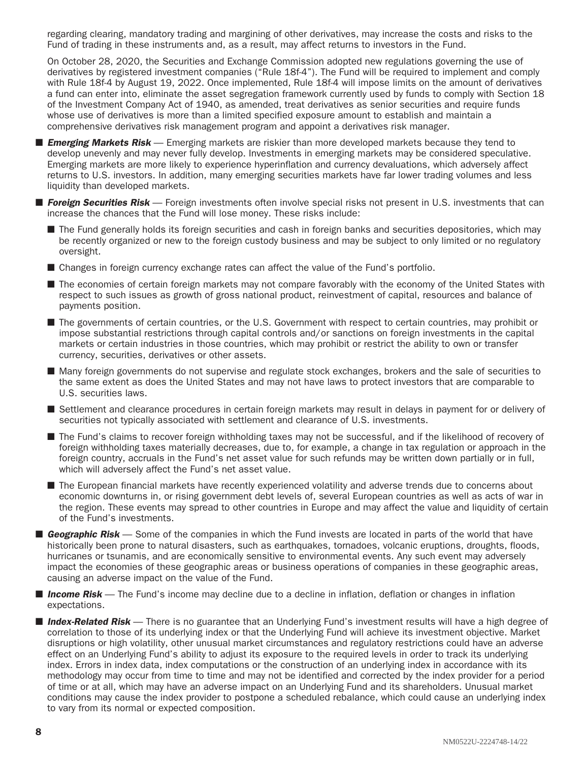regarding clearing, mandatory trading and margining of other derivatives, may increase the costs and risks to the Fund of trading in these instruments and, as a result, may affect returns to investors in the Fund.

On October 28, 2020, the Securities and Exchange Commission adopted new regulations governing the use of derivatives by registered investment companies ("Rule 18f-4"). The Fund will be required to implement and comply with Rule 18f-4 by August 19, 2022. Once implemented, Rule 18f-4 will impose limits on the amount of derivatives a fund can enter into, eliminate the asset segregation framework currently used by funds to comply with Section 18 of the Investment Company Act of 1940, as amended, treat derivatives as senior securities and require funds whose use of derivatives is more than a limited specified exposure amount to establish and maintain a comprehensive derivatives risk management program and appoint a derivatives risk manager.

- **Emerging Markets Risk** Emerging markets are riskier than more developed markets because they tend to develop unevenly and may never fully develop. Investments in emerging markets may be considered speculative. Emerging markets are more likely to experience hyperinflation and currency devaluations, which adversely affect returns to U.S. investors. In addition, many emerging securities markets have far lower trading volumes and less liquidity than developed markets.
- Foreign Securities Risk Foreign investments often involve special risks not present in U.S. investments that can increase the chances that the Fund will lose money. These risks include:
	- The Fund generally holds its foreign securities and cash in foreign banks and securities depositories, which may be recently organized or new to the foreign custody business and may be subject to only limited or no regulatory oversight.
	- Changes in foreign currency exchange rates can affect the value of the Fund's portfolio.
	- The economies of certain foreign markets may not compare favorably with the economy of the United States with respect to such issues as growth of gross national product, reinvestment of capital, resources and balance of payments position.
	- The governments of certain countries, or the U.S. Government with respect to certain countries, may prohibit or impose substantial restrictions through capital controls and/or sanctions on foreign investments in the capital markets or certain industries in those countries, which may prohibit or restrict the ability to own or transfer currency, securities, derivatives or other assets.
	- Many foreign governments do not supervise and regulate stock exchanges, brokers and the sale of securities to the same extent as does the United States and may not have laws to protect investors that are comparable to U.S. securities laws.
	- Settlement and clearance procedures in certain foreign markets may result in delays in payment for or delivery of securities not typically associated with settlement and clearance of U.S. investments.
	- The Fund's claims to recover foreign withholding taxes may not be successful, and if the likelihood of recovery of foreign withholding taxes materially decreases, due to, for example, a change in tax regulation or approach in the foreign country, accruals in the Fund's net asset value for such refunds may be written down partially or in full, which will adversely affect the Fund's net asset value.
	- The European financial markets have recently experienced volatility and adverse trends due to concerns about economic downturns in, or rising government debt levels of, several European countries as well as acts of war in the region. These events may spread to other countries in Europe and may affect the value and liquidity of certain of the Fund's investments.
- Geographic Risk Some of the companies in which the Fund invests are located in parts of the world that have historically been prone to natural disasters, such as earthquakes, tornadoes, volcanic eruptions, droughts, floods, hurricanes or tsunamis, and are economically sensitive to environmental events. Any such event may adversely impact the economies of these geographic areas or business operations of companies in these geographic areas, causing an adverse impact on the value of the Fund.
- Income Risk The Fund's income may decline due to a decline in inflation, deflation or changes in inflation expectations.
- Index-Related Risk There is no guarantee that an Underlying Fund's investment results will have a high degree of correlation to those of its underlying index or that the Underlying Fund will achieve its investment objective. Market disruptions or high volatility, other unusual market circumstances and regulatory restrictions could have an adverse effect on an Underlying Fund's ability to adjust its exposure to the required levels in order to track its underlying index. Errors in index data, index computations or the construction of an underlying index in accordance with its methodology may occur from time to time and may not be identified and corrected by the index provider for a period of time or at all, which may have an adverse impact on an Underlying Fund and its shareholders. Unusual market conditions may cause the index provider to postpone a scheduled rebalance, which could cause an underlying index to vary from its normal or expected composition.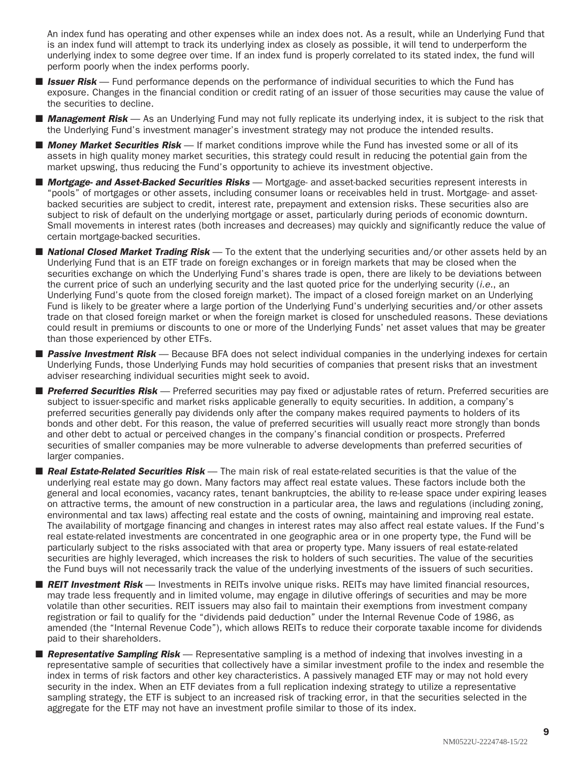An index fund has operating and other expenses while an index does not. As a result, while an Underlying Fund that is an index fund will attempt to track its underlying index as closely as possible, it will tend to underperform the underlying index to some degree over time. If an index fund is properly correlated to its stated index, the fund will perform poorly when the index performs poorly.

- Issuer Risk Fund performance depends on the performance of individual securities to which the Fund has exposure. Changes in the financial condition or credit rating of an issuer of those securities may cause the value of the securities to decline.
- Management Risk As an Underlying Fund may not fully replicate its underlying index, it is subject to the risk that the Underlying Fund's investment manager's investment strategy may not produce the intended results.
- Money Market Securities Risk If market conditions improve while the Fund has invested some or all of its assets in high quality money market securities, this strategy could result in reducing the potential gain from the market upswing, thus reducing the Fund's opportunity to achieve its investment objective.
- Mortgage- and Asset-Backed Securities Risks Mortgage- and asset-backed securities represent interests in "pools" of mortgages or other assets, including consumer loans or receivables held in trust. Mortgage- and assetbacked securities are subject to credit, interest rate, prepayment and extension risks. These securities also are subject to risk of default on the underlying mortgage or asset, particularly during periods of economic downturn. Small movements in interest rates (both increases and decreases) may quickly and significantly reduce the value of certain mortgage-backed securities.
- National Closed Market Trading Risk To the extent that the underlying securities and/or other assets held by an Underlying Fund that is an ETF trade on foreign exchanges or in foreign markets that may be closed when the securities exchange on which the Underlying Fund's shares trade is open, there are likely to be deviations between the current price of such an underlying security and the last quoted price for the underlying security (i.e., an Underlying Fund's quote from the closed foreign market). The impact of a closed foreign market on an Underlying Fund is likely to be greater where a large portion of the Underlying Fund's underlying securities and/or other assets trade on that closed foreign market or when the foreign market is closed for unscheduled reasons. These deviations could result in premiums or discounts to one or more of the Underlying Funds' net asset values that may be greater than those experienced by other ETFs.
- Passive Investment Risk Because BFA does not select individual companies in the underlying indexes for certain Underlying Funds, those Underlying Funds may hold securities of companies that present risks that an investment adviser researching individual securities might seek to avoid.
- Preferred Securities Risk Preferred securities may pay fixed or adjustable rates of return. Preferred securities are subject to issuer-specific and market risks applicable generally to equity securities. In addition, a company's preferred securities generally pay dividends only after the company makes required payments to holders of its bonds and other debt. For this reason, the value of preferred securities will usually react more strongly than bonds and other debt to actual or perceived changes in the company's financial condition or prospects. Preferred securities of smaller companies may be more vulnerable to adverse developments than preferred securities of larger companies.
- Real Estate-Related Securities Risk The main risk of real estate-related securities is that the value of the underlying real estate may go down. Many factors may affect real estate values. These factors include both the general and local economies, vacancy rates, tenant bankruptcies, the ability to re-lease space under expiring leases on attractive terms, the amount of new construction in a particular area, the laws and regulations (including zoning, environmental and tax laws) affecting real estate and the costs of owning, maintaining and improving real estate. The availability of mortgage financing and changes in interest rates may also affect real estate values. If the Fund's real estate-related investments are concentrated in one geographic area or in one property type, the Fund will be particularly subject to the risks associated with that area or property type. Many issuers of real estate-related securities are highly leveraged, which increases the risk to holders of such securities. The value of the securities the Fund buys will not necessarily track the value of the underlying investments of the issuers of such securities.
- REIT Investment Risk Investments in REITs involve unique risks. REITs may have limited financial resources, may trade less frequently and in limited volume, may engage in dilutive offerings of securities and may be more volatile than other securities. REIT issuers may also fail to maintain their exemptions from investment company registration or fail to qualify for the "dividends paid deduction" under the Internal Revenue Code of 1986, as amended (the "Internal Revenue Code"), which allows REITs to reduce their corporate taxable income for dividends paid to their shareholders.
- Representative Sampling Risk Representative sampling is a method of indexing that involves investing in a representative sample of securities that collectively have a similar investment profile to the index and resemble the index in terms of risk factors and other key characteristics. A passively managed ETF may or may not hold every security in the index. When an ETF deviates from a full replication indexing strategy to utilize a representative sampling strategy, the ETF is subject to an increased risk of tracking error, in that the securities selected in the aggregate for the ETF may not have an investment profile similar to those of its index.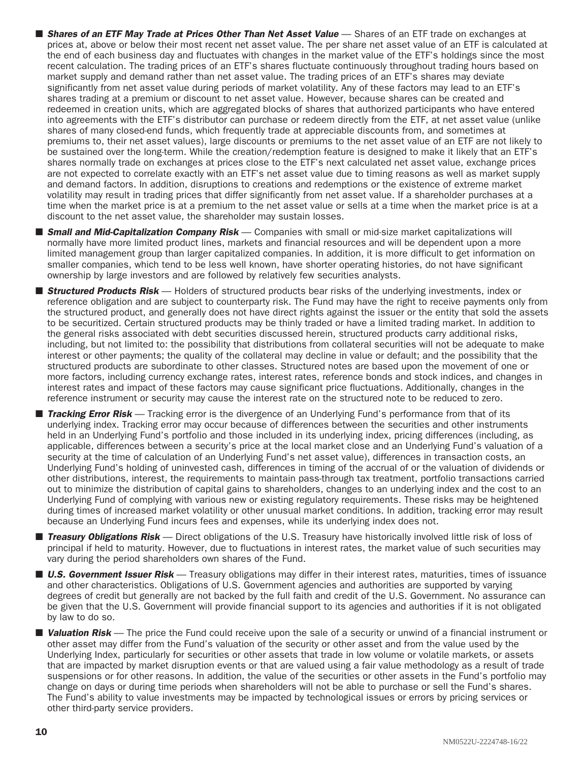- Shares of an ETF May Trade at Prices Other Than Net Asset Value Shares of an ETF trade on exchanges at prices at, above or below their most recent net asset value. The per share net asset value of an ETF is calculated at the end of each business day and fluctuates with changes in the market value of the ETF's holdings since the most recent calculation. The trading prices of an ETF's shares fluctuate continuously throughout trading hours based on market supply and demand rather than net asset value. The trading prices of an ETF's shares may deviate significantly from net asset value during periods of market volatility. Any of these factors may lead to an ETF's shares trading at a premium or discount to net asset value. However, because shares can be created and redeemed in creation units, which are aggregated blocks of shares that authorized participants who have entered into agreements with the ETF's distributor can purchase or redeem directly from the ETF, at net asset value (unlike shares of many closed-end funds, which frequently trade at appreciable discounts from, and sometimes at premiums to, their net asset values), large discounts or premiums to the net asset value of an ETF are not likely to be sustained over the long-term. While the creation/redemption feature is designed to make it likely that an ETF's shares normally trade on exchanges at prices close to the ETF's next calculated net asset value, exchange prices are not expected to correlate exactly with an ETF's net asset value due to timing reasons as well as market supply and demand factors. In addition, disruptions to creations and redemptions or the existence of extreme market volatility may result in trading prices that differ significantly from net asset value. If a shareholder purchases at a time when the market price is at a premium to the net asset value or sells at a time when the market price is at a discount to the net asset value, the shareholder may sustain losses.
- Small and Mid-Capitalization Company Risk Companies with small or mid-size market capitalizations will normally have more limited product lines, markets and financial resources and will be dependent upon a more limited management group than larger capitalized companies. In addition, it is more difficult to get information on smaller companies, which tend to be less well known, have shorter operating histories, do not have significant ownership by large investors and are followed by relatively few securities analysts.
- **Structured Products Risk** Holders of structured products bear risks of the underlying investments, index or reference obligation and are subject to counterparty risk. The Fund may have the right to receive payments only from the structured product, and generally does not have direct rights against the issuer or the entity that sold the assets to be securitized. Certain structured products may be thinly traded or have a limited trading market. In addition to the general risks associated with debt securities discussed herein, structured products carry additional risks, including, but not limited to: the possibility that distributions from collateral securities will not be adequate to make interest or other payments; the quality of the collateral may decline in value or default; and the possibility that the structured products are subordinate to other classes. Structured notes are based upon the movement of one or more factors, including currency exchange rates, interest rates, reference bonds and stock indices, and changes in interest rates and impact of these factors may cause significant price fluctuations. Additionally, changes in the reference instrument or security may cause the interest rate on the structured note to be reduced to zero.
- Tracking Error Risk Tracking error is the divergence of an Underlying Fund's performance from that of its underlying index. Tracking error may occur because of differences between the securities and other instruments held in an Underlying Fund's portfolio and those included in its underlying index, pricing differences (including, as applicable, differences between a security's price at the local market close and an Underlying Fund's valuation of a security at the time of calculation of an Underlying Fund's net asset value), differences in transaction costs, an Underlying Fund's holding of uninvested cash, differences in timing of the accrual of or the valuation of dividends or other distributions, interest, the requirements to maintain pass-through tax treatment, portfolio transactions carried out to minimize the distribution of capital gains to shareholders, changes to an underlying index and the cost to an Underlying Fund of complying with various new or existing regulatory requirements. These risks may be heightened during times of increased market volatility or other unusual market conditions. In addition, tracking error may result because an Underlying Fund incurs fees and expenses, while its underlying index does not.
- Treasury Obligations Risk Direct obligations of the U.S. Treasury have historically involved little risk of loss of principal if held to maturity. However, due to fluctuations in interest rates, the market value of such securities may vary during the period shareholders own shares of the Fund.
- U.S. Government Issuer Risk Treasury obligations may differ in their interest rates, maturities, times of issuance and other characteristics. Obligations of U.S. Government agencies and authorities are supported by varying degrees of credit but generally are not backed by the full faith and credit of the U.S. Government. No assurance can be given that the U.S. Government will provide financial support to its agencies and authorities if it is not obligated by law to do so.
- Valuation Risk The price the Fund could receive upon the sale of a security or unwind of a financial instrument or other asset may differ from the Fund's valuation of the security or other asset and from the value used by the Underlying Index, particularly for securities or other assets that trade in low volume or volatile markets, or assets that are impacted by market disruption events or that are valued using a fair value methodology as a result of trade suspensions or for other reasons. In addition, the value of the securities or other assets in the Fund's portfolio may change on days or during time periods when shareholders will not be able to purchase or sell the Fund's shares. The Fund's ability to value investments may be impacted by technological issues or errors by pricing services or other third-party service providers.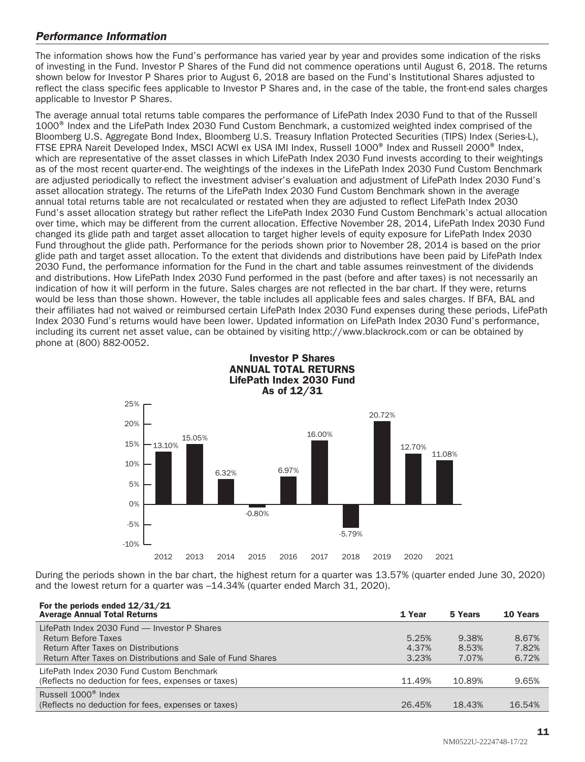# Performance Information

The information shows how the Fund's performance has varied year by year and provides some indication of the risks of investing in the Fund. Investor P Shares of the Fund did not commence operations until August 6, 2018. The returns shown below for Investor P Shares prior to August 6, 2018 are based on the Fund's Institutional Shares adjusted to reflect the class specific fees applicable to Investor P Shares and, in the case of the table, the front-end sales charges applicable to Investor P Shares.

The average annual total returns table compares the performance of LifePath Index 2030 Fund to that of the Russell 1000<sup>®</sup> Index and the LifePath Index 2030 Fund Custom Benchmark, a customized weighted index comprised of the Bloomberg U.S. Aggregate Bond Index, Bloomberg U.S. Treasury Inflation Protected Securities (TIPS) Index (Series-L), FTSE EPRA Nareit Developed Index, MSCI ACWI ex USA IMI Index, Russell 1000<sup>®</sup> Index and Russell 2000<sup>®</sup> Index, which are representative of the asset classes in which LifePath Index 2030 Fund invests according to their weightings as of the most recent quarter-end. The weightings of the indexes in the LifePath Index 2030 Fund Custom Benchmark are adjusted periodically to reflect the investment adviser's evaluation and adjustment of LifePath Index 2030 Fund's asset allocation strategy. The returns of the LifePath Index 2030 Fund Custom Benchmark shown in the average annual total returns table are not recalculated or restated when they are adjusted to reflect LifePath Index 2030 Fund's asset allocation strategy but rather reflect the LifePath Index 2030 Fund Custom Benchmark's actual allocation over time, which may be different from the current allocation. Effective November 28, 2014, LifePath Index 2030 Fund changed its glide path and target asset allocation to target higher levels of equity exposure for LifePath Index 2030 Fund throughout the glide path. Performance for the periods shown prior to November 28, 2014 is based on the prior glide path and target asset allocation. To the extent that dividends and distributions have been paid by LifePath Index 2030 Fund, the performance information for the Fund in the chart and table assumes reinvestment of the dividends and distributions. How LifePath Index 2030 Fund performed in the past (before and after taxes) is not necessarily an indication of how it will perform in the future. Sales charges are not reflected in the bar chart. If they were, returns would be less than those shown. However, the table includes all applicable fees and sales charges. If BFA, BAL and their affiliates had not waived or reimbursed certain LifePath Index 2030 Fund expenses during these periods, LifePath Index 2030 Fund's returns would have been lower. Updated information on LifePath Index 2030 Fund's performance, including its current net asset value, can be obtained by visiting http://www.blackrock.com or can be obtained by phone at (800) 882-0052.



Investor P Shares

During the periods shown in the bar chart, the highest return for a quarter was 13.57% (quarter ended June 30, 2020) and the lowest return for a quarter was –14.34% (quarter ended March 31, 2020).

# For the periods ended 12/31/21

| <b>Average Annual Total Returns</b>                         | 1 Year | 5 Years | <b>10 Years</b> |
|-------------------------------------------------------------|--------|---------|-----------------|
| LifePath Index 2030 Fund - Investor P Shares                |        |         |                 |
| Return Before Taxes                                         | 5.25%  | 9.38%   | 8.67%           |
| Return After Taxes on Distributions                         | 4.37%  | 8.53%   | 7.82%           |
| Return After Taxes on Distributions and Sale of Fund Shares | 3.23%  | 7.07%   | 6.72%           |
| LifePath Index 2030 Fund Custom Benchmark                   |        |         |                 |
| (Reflects no deduction for fees, expenses or taxes)         | 11.49% | 10.89%  | 9.65%           |
| Russell 1000 <sup>®</sup> Index                             |        |         |                 |
| (Reflects no deduction for fees, expenses or taxes)         | 26.45% | 18.43%  | 16.54%          |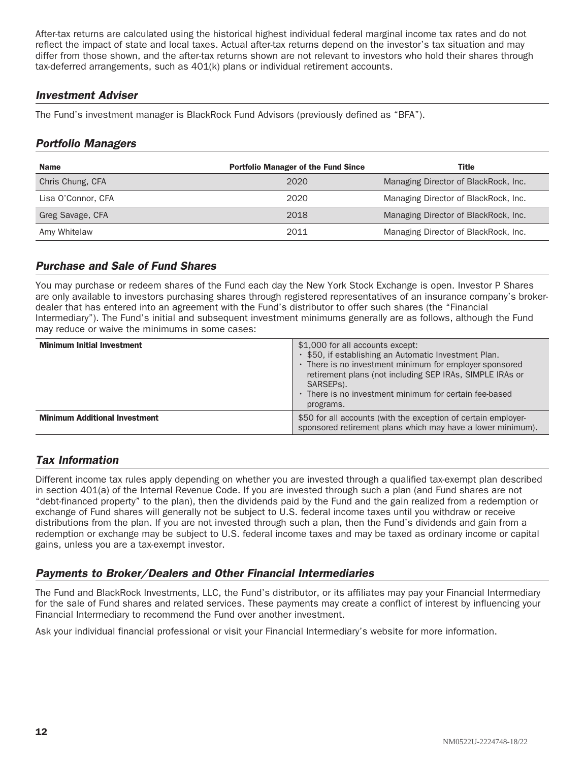After-tax returns are calculated using the historical highest individual federal marginal income tax rates and do not reflect the impact of state and local taxes. Actual after-tax returns depend on the investor's tax situation and may differ from those shown, and the after-tax returns shown are not relevant to investors who hold their shares through tax-deferred arrangements, such as 401(k) plans or individual retirement accounts.

# Investment Adviser

The Fund's investment manager is BlackRock Fund Advisors (previously defined as "BFA").

# Portfolio Managers

| <b>Name</b>        | <b>Portfolio Manager of the Fund Since</b> | <b>Title</b>                         |
|--------------------|--------------------------------------------|--------------------------------------|
| Chris Chung, CFA   | 2020                                       | Managing Director of BlackRock, Inc. |
| Lisa O'Connor, CFA | 2020                                       | Managing Director of BlackRock, Inc. |
| Greg Savage, CFA   | 2018                                       | Managing Director of BlackRock, Inc. |
| Amy Whitelaw       | 2011                                       | Managing Director of BlackRock, Inc. |

# Purchase and Sale of Fund Shares

You may purchase or redeem shares of the Fund each day the New York Stock Exchange is open. Investor P Shares are only available to investors purchasing shares through registered representatives of an insurance company's brokerdealer that has entered into an agreement with the Fund's distributor to offer such shares (the "Financial Intermediary"). The Fund's initial and subsequent investment minimums generally are as follows, although the Fund may reduce or waive the minimums in some cases:

| <b>Minimum Initial Investment</b>    | \$1,000 for all accounts except:<br>· \$50, if establishing an Automatic Investment Plan.<br>There is no investment minimum for employer-sponsored<br>retirement plans (not including SEP IRAs, SIMPLE IRAs or<br>SARSEPS).<br>There is no investment minimum for certain fee-based<br>programs. |
|--------------------------------------|--------------------------------------------------------------------------------------------------------------------------------------------------------------------------------------------------------------------------------------------------------------------------------------------------|
| <b>Minimum Additional Investment</b> | \$50 for all accounts (with the exception of certain employer-<br>sponsored retirement plans which may have a lower minimum).                                                                                                                                                                    |

# Tax Information

Different income tax rules apply depending on whether you are invested through a qualified tax-exempt plan described in section 401(a) of the Internal Revenue Code. If you are invested through such a plan (and Fund shares are not "debt-financed property" to the plan), then the dividends paid by the Fund and the gain realized from a redemption or exchange of Fund shares will generally not be subject to U.S. federal income taxes until you withdraw or receive distributions from the plan. If you are not invested through such a plan, then the Fund's dividends and gain from a redemption or exchange may be subject to U.S. federal income taxes and may be taxed as ordinary income or capital gains, unless you are a tax-exempt investor.

# Payments to Broker/Dealers and Other Financial Intermediaries

The Fund and BlackRock Investments, LLC, the Fund's distributor, or its affiliates may pay your Financial Intermediary for the sale of Fund shares and related services. These payments may create a conflict of interest by influencing your Financial Intermediary to recommend the Fund over another investment.

Ask your individual financial professional or visit your Financial Intermediary's website for more information.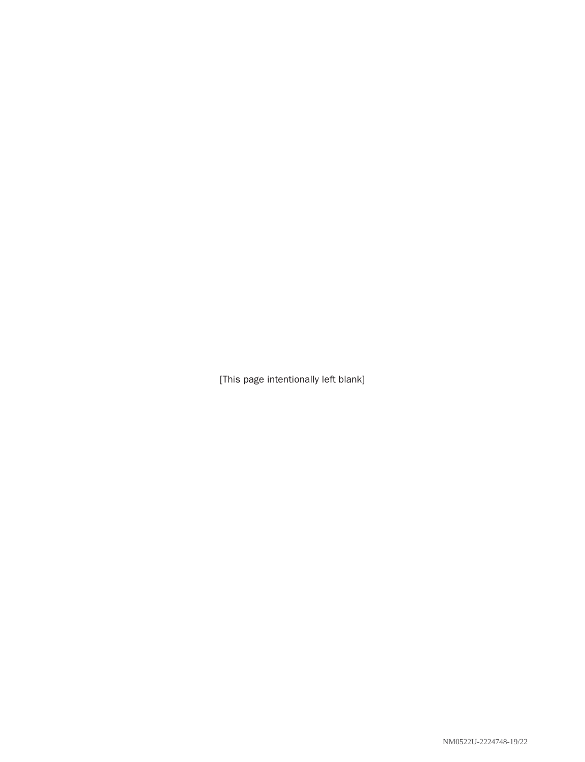[This page intentionally left blank]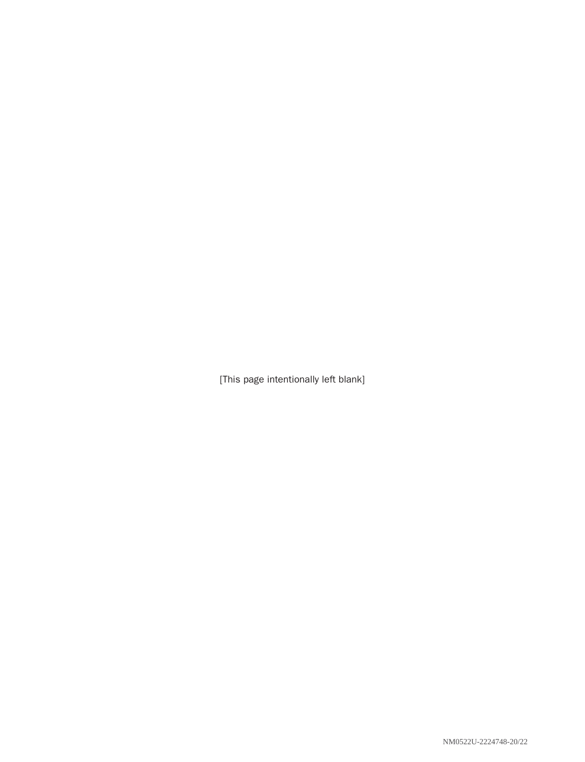[This page intentionally left blank]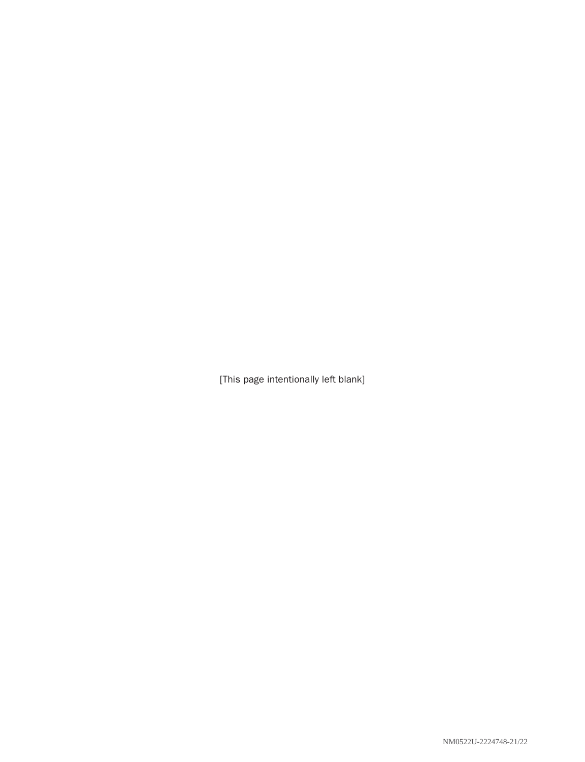[This page intentionally left blank]